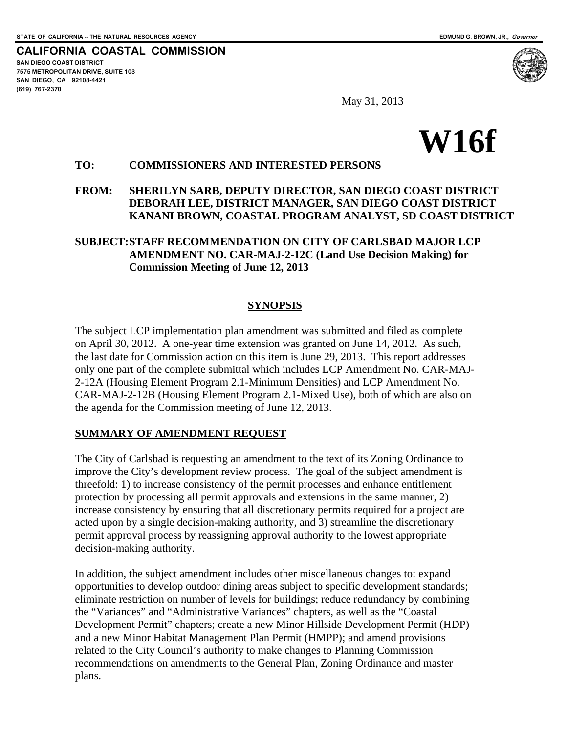**CALIFORNIA COASTAL COMMISSION SAN DIEGO COAST DISTRICT 7575 METROPOLITAN DRIVE, SUITE 103 SAN DIEGO, CA 92108-4421 (619) 767-2370**

 $\overline{a}$ 

May 31, 2013



### **TO: COMMISSIONERS AND INTERESTED PERSONS**

### **FROM: SHERILYN SARB, DEPUTY DIRECTOR, SAN DIEGO COAST DISTRICT DEBORAH LEE, DISTRICT MANAGER, SAN DIEGO COAST DISTRICT KANANI BROWN, COASTAL PROGRAM ANALYST, SD COAST DISTRICT**

### **SUBJECT: STAFF RECOMMENDATION ON CITY OF CARLSBAD MAJOR LCP AMENDMENT NO. CAR-MAJ-2-12C (Land Use Decision Making) for Commission Meeting of June 12, 2013**

### **SYNOPSIS**

The subject LCP implementation plan amendment was submitted and filed as complete on April 30, 2012. A one-year time extension was granted on June 14, 2012. As such, the last date for Commission action on this item is June 29, 2013. This report addresses only one part of the complete submittal which includes LCP Amendment No. CAR-MAJ-2-12A (Housing Element Program 2.1-Minimum Densities) and LCP Amendment No. CAR-MAJ-2-12B (Housing Element Program 2.1-Mixed Use), both of which are also on the agenda for the Commission meeting of June 12, 2013.

### **SUMMARY OF AMENDMENT REQUEST**

The City of Carlsbad is requesting an amendment to the text of its Zoning Ordinance to improve the City's development review process. The goal of the subject amendment is threefold: 1) to increase consistency of the permit processes and enhance entitlement protection by processing all permit approvals and extensions in the same manner, 2) increase consistency by ensuring that all discretionary permits required for a project are acted upon by a single decision-making authority, and 3) streamline the discretionary permit approval process by reassigning approval authority to the lowest appropriate decision-making authority.

In addition, the subject amendment includes other miscellaneous changes to: expand opportunities to develop outdoor dining areas subject to specific development standards; eliminate restriction on number of levels for buildings; reduce redundancy by combining the "Variances" and "Administrative Variances" chapters, as well as the "Coastal Development Permit" chapters; create a new Minor Hillside Development Permit (HDP) and a new Minor Habitat Management Plan Permit (HMPP); and amend provisions related to the City Council's authority to make changes to Planning Commission recommendations on amendments to the General Plan, Zoning Ordinance and master plans.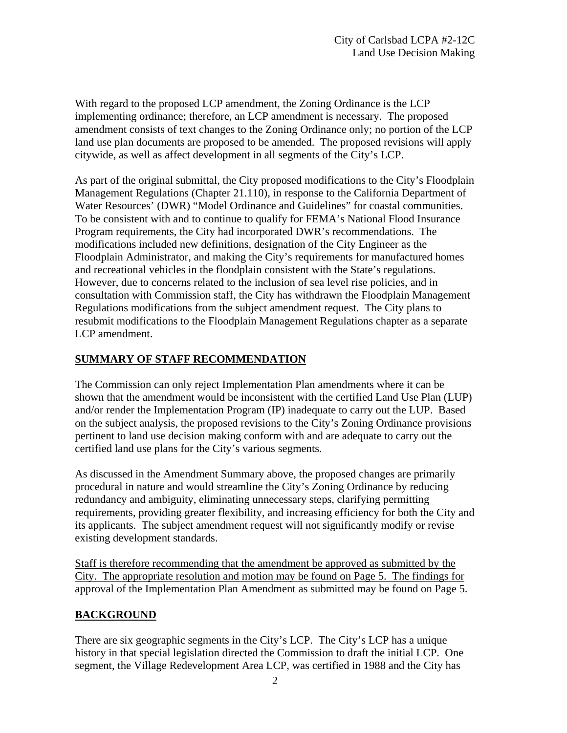With regard to the proposed LCP amendment, the Zoning Ordinance is the LCP implementing ordinance; therefore, an LCP amendment is necessary. The proposed amendment consists of text changes to the Zoning Ordinance only; no portion of the LCP land use plan documents are proposed to be amended. The proposed revisions will apply citywide, as well as affect development in all segments of the City's LCP.

As part of the original submittal, the City proposed modifications to the City's Floodplain Management Regulations (Chapter 21.110), in response to the California Department of Water Resources' (DWR) "Model Ordinance and Guidelines" for coastal communities. To be consistent with and to continue to qualify for FEMA's National Flood Insurance Program requirements, the City had incorporated DWR's recommendations. The modifications included new definitions, designation of the City Engineer as the Floodplain Administrator, and making the City's requirements for manufactured homes and recreational vehicles in the floodplain consistent with the State's regulations. However, due to concerns related to the inclusion of sea level rise policies, and in consultation with Commission staff, the City has withdrawn the Floodplain Management Regulations modifications from the subject amendment request. The City plans to resubmit modifications to the Floodplain Management Regulations chapter as a separate LCP amendment.

### **SUMMARY OF STAFF RECOMMENDATION**

The Commission can only reject Implementation Plan amendments where it can be shown that the amendment would be inconsistent with the certified Land Use Plan (LUP) and/or render the Implementation Program (IP) inadequate to carry out the LUP. Based on the subject analysis, the proposed revisions to the City's Zoning Ordinance provisions pertinent to land use decision making conform with and are adequate to carry out the certified land use plans for the City's various segments.

As discussed in the Amendment Summary above, the proposed changes are primarily procedural in nature and would streamline the City's Zoning Ordinance by reducing redundancy and ambiguity, eliminating unnecessary steps, clarifying permitting requirements, providing greater flexibility, and increasing efficiency for both the City and its applicants. The subject amendment request will not significantly modify or revise existing development standards.

Staff is therefore recommending that the amendment be approved as submitted by the City. The appropriate resolution and motion may be found on Page 5. The findings for approval of the Implementation Plan Amendment as submitted may be found on Page 5.

### **BACKGROUND**

There are six geographic segments in the City's LCP. The City's LCP has a unique history in that special legislation directed the Commission to draft the initial LCP. One segment, the Village Redevelopment Area LCP, was certified in 1988 and the City has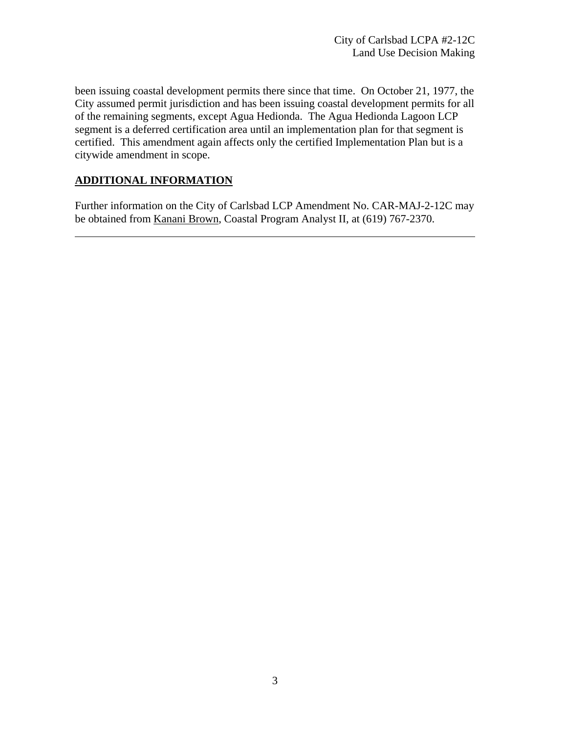been issuing coastal development permits there since that time. On October 21, 1977, the City assumed permit jurisdiction and has been issuing coastal development permits for all of the remaining segments, except Agua Hedionda. The Agua Hedionda Lagoon LCP segment is a deferred certification area until an implementation plan for that segment is certified. This amendment again affects only the certified Implementation Plan but is a citywide amendment in scope.

### **ADDITIONAL INFORMATION**

l

Further information on the City of Carlsbad LCP Amendment No. CAR-MAJ-2-12C may be obtained from Kanani Brown, Coastal Program Analyst II, at (619) 767-2370.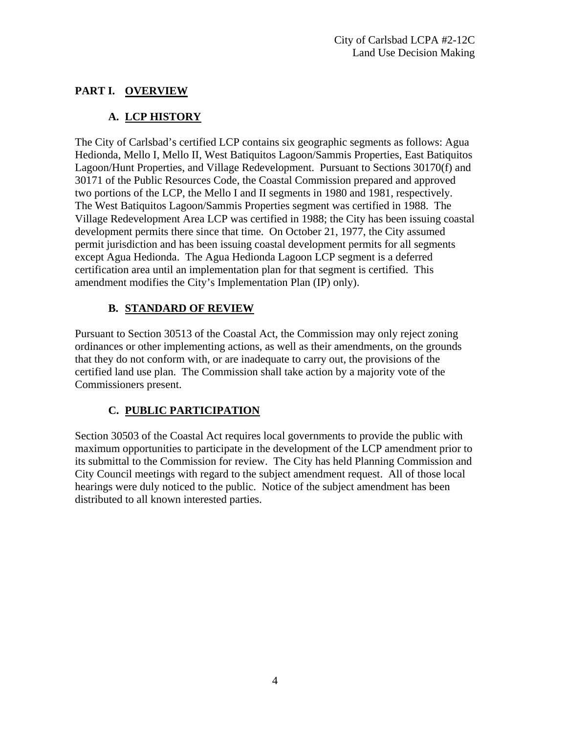## **PART I. OVERVIEW**

## **A. LCP HISTORY**

The City of Carlsbad's certified LCP contains six geographic segments as follows: Agua Hedionda, Mello I, Mello II, West Batiquitos Lagoon/Sammis Properties, East Batiquitos Lagoon/Hunt Properties, and Village Redevelopment. Pursuant to Sections 30170(f) and 30171 of the Public Resources Code, the Coastal Commission prepared and approved two portions of the LCP, the Mello I and II segments in 1980 and 1981, respectively. The West Batiquitos Lagoon/Sammis Properties segment was certified in 1988. The Village Redevelopment Area LCP was certified in 1988; the City has been issuing coastal development permits there since that time. On October 21, 1977, the City assumed permit jurisdiction and has been issuing coastal development permits for all segments except Agua Hedionda. The Agua Hedionda Lagoon LCP segment is a deferred certification area until an implementation plan for that segment is certified. This amendment modifies the City's Implementation Plan (IP) only).

## **B. STANDARD OF REVIEW**

Pursuant to Section 30513 of the Coastal Act, the Commission may only reject zoning ordinances or other implementing actions, as well as their amendments, on the grounds that they do not conform with, or are inadequate to carry out, the provisions of the certified land use plan. The Commission shall take action by a majority vote of the Commissioners present.

# **C. PUBLIC PARTICIPATION**

Section 30503 of the Coastal Act requires local governments to provide the public with maximum opportunities to participate in the development of the LCP amendment prior to its submittal to the Commission for review. The City has held Planning Commission and City Council meetings with regard to the subject amendment request. All of those local hearings were duly noticed to the public. Notice of the subject amendment has been distributed to all known interested parties.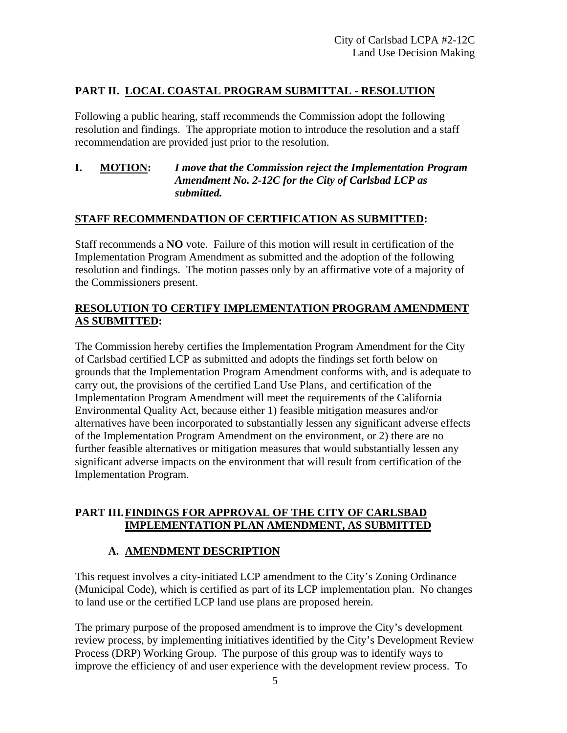### **PART II. LOCAL COASTAL PROGRAM SUBMITTAL - RESOLUTION**

Following a public hearing, staff recommends the Commission adopt the following resolution and findings. The appropriate motion to introduce the resolution and a staff recommendation are provided just prior to the resolution.

### **I. MOTION:** *I move that the Commission reject the Implementation Program Amendment No. 2-12C for the City of Carlsbad LCP as submitted.*

### **STAFF RECOMMENDATION OF CERTIFICATION AS SUBMITTED:**

Staff recommends a **NO** vote. Failure of this motion will result in certification of the Implementation Program Amendment as submitted and the adoption of the following resolution and findings. The motion passes only by an affirmative vote of a majority of the Commissioners present.

### **RESOLUTION TO CERTIFY IMPLEMENTATION PROGRAM AMENDMENT AS SUBMITTED:**

The Commission hereby certifies the Implementation Program Amendment for the City of Carlsbad certified LCP as submitted and adopts the findings set forth below on grounds that the Implementation Program Amendment conforms with, and is adequate to carry out, the provisions of the certified Land Use Plans, and certification of the Implementation Program Amendment will meet the requirements of the California Environmental Quality Act, because either 1) feasible mitigation measures and/or alternatives have been incorporated to substantially lessen any significant adverse effects of the Implementation Program Amendment on the environment, or 2) there are no further feasible alternatives or mitigation measures that would substantially lessen any significant adverse impacts on the environment that will result from certification of the Implementation Program.

### **PART III. FINDINGS FOR APPROVAL OF THE CITY OF CARLSBAD IMPLEMENTATION PLAN AMENDMENT, AS SUBMITTED**

### **A. AMENDMENT DESCRIPTION**

This request involves a city-initiated LCP amendment to the City's Zoning Ordinance (Municipal Code), which is certified as part of its LCP implementation plan. No changes to land use or the certified LCP land use plans are proposed herein.

The primary purpose of the proposed amendment is to improve the City's development review process, by implementing initiatives identified by the City's Development Review Process (DRP) Working Group. The purpose of this group was to identify ways to improve the efficiency of and user experience with the development review process. To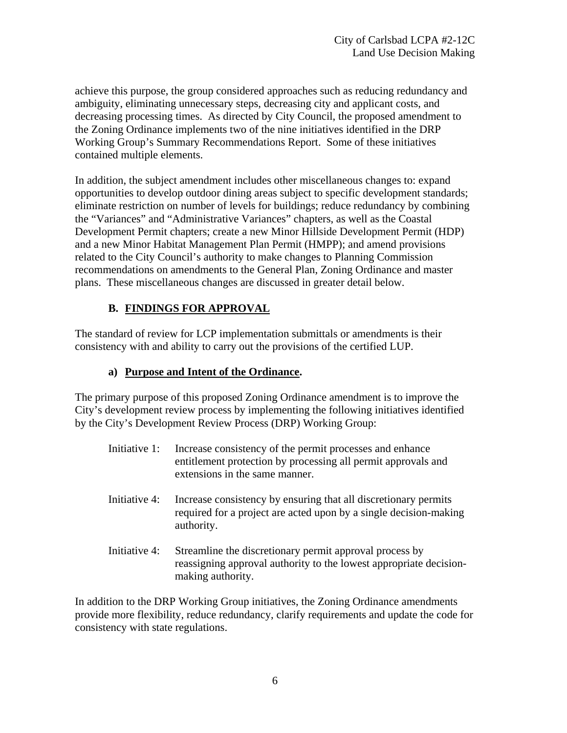achieve this purpose, the group considered approaches such as reducing redundancy and ambiguity, eliminating unnecessary steps, decreasing city and applicant costs, and decreasing processing times. As directed by City Council, the proposed amendment to the Zoning Ordinance implements two of the nine initiatives identified in the DRP Working Group's Summary Recommendations Report. Some of these initiatives contained multiple elements.

In addition, the subject amendment includes other miscellaneous changes to: expand opportunities to develop outdoor dining areas subject to specific development standards; eliminate restriction on number of levels for buildings; reduce redundancy by combining the "Variances" and "Administrative Variances" chapters, as well as the Coastal Development Permit chapters; create a new Minor Hillside Development Permit (HDP) and a new Minor Habitat Management Plan Permit (HMPP); and amend provisions related to the City Council's authority to make changes to Planning Commission recommendations on amendments to the General Plan, Zoning Ordinance and master plans. These miscellaneous changes are discussed in greater detail below.

## **B. FINDINGS FOR APPROVAL**

The standard of review for LCP implementation submittals or amendments is their consistency with and ability to carry out the provisions of the certified LUP.

### **a) Purpose and Intent of the Ordinance.**

The primary purpose of this proposed Zoning Ordinance amendment is to improve the City's development review process by implementing the following initiatives identified by the City's Development Review Process (DRP) Working Group:

- Initiative 1: Increase consistency of the permit processes and enhance entitlement protection by processing all permit approvals and extensions in the same manner.
- Initiative 4: Increase consistency by ensuring that all discretionary permits required for a project are acted upon by a single decision-making authority.
- Initiative 4: Streamline the discretionary permit approval process by reassigning approval authority to the lowest appropriate decisionmaking authority.

In addition to the DRP Working Group initiatives, the Zoning Ordinance amendments provide more flexibility, reduce redundancy, clarify requirements and update the code for consistency with state regulations.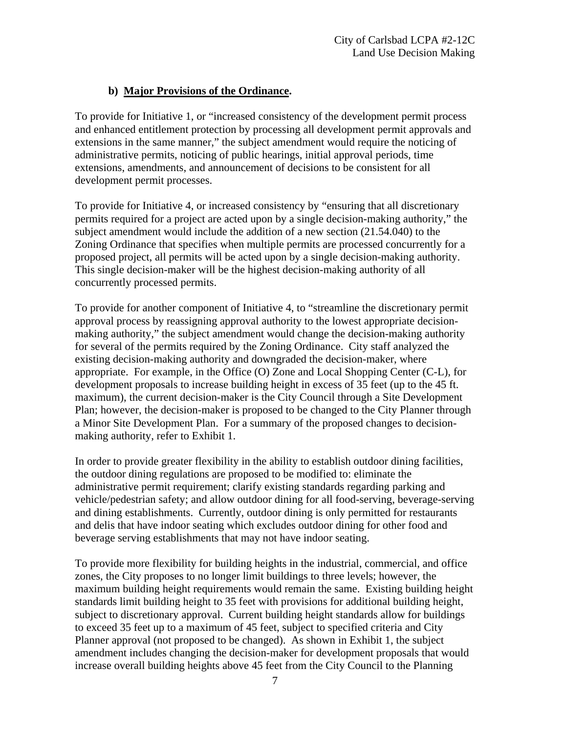### **b) Major Provisions of the Ordinance.**

To provide for Initiative 1, or "increased consistency of the development permit process and enhanced entitlement protection by processing all development permit approvals and extensions in the same manner," the subject amendment would require the noticing of administrative permits, noticing of public hearings, initial approval periods, time extensions, amendments, and announcement of decisions to be consistent for all development permit processes.

To provide for Initiative 4, or increased consistency by "ensuring that all discretionary permits required for a project are acted upon by a single decision-making authority," the subject amendment would include the addition of a new section (21.54.040) to the Zoning Ordinance that specifies when multiple permits are processed concurrently for a proposed project, all permits will be acted upon by a single decision-making authority. This single decision-maker will be the highest decision-making authority of all concurrently processed permits.

To provide for another component of Initiative 4, to "streamline the discretionary permit approval process by reassigning approval authority to the lowest appropriate decisionmaking authority," the subject amendment would change the decision-making authority for several of the permits required by the Zoning Ordinance. City staff analyzed the existing decision-making authority and downgraded the decision-maker, where appropriate. For example, in the Office (O) Zone and Local Shopping Center (C-L), for development proposals to increase building height in excess of 35 feet (up to the 45 ft. maximum), the current decision-maker is the City Council through a Site Development Plan; however, the decision-maker is proposed to be changed to the City Planner through a Minor Site Development Plan. For a summary of the proposed changes to decisionmaking authority, refer to Exhibit 1.

In order to provide greater flexibility in the ability to establish outdoor dining facilities, the outdoor dining regulations are proposed to be modified to: eliminate the administrative permit requirement; clarify existing standards regarding parking and vehicle/pedestrian safety; and allow outdoor dining for all food-serving, beverage-serving and dining establishments. Currently, outdoor dining is only permitted for restaurants and delis that have indoor seating which excludes outdoor dining for other food and beverage serving establishments that may not have indoor seating.

To provide more flexibility for building heights in the industrial, commercial, and office zones, the City proposes to no longer limit buildings to three levels; however, the maximum building height requirements would remain the same. Existing building height standards limit building height to 35 feet with provisions for additional building height, subject to discretionary approval. Current building height standards allow for buildings to exceed 35 feet up to a maximum of 45 feet, subject to specified criteria and City Planner approval (not proposed to be changed). As shown in Exhibit 1, the subject amendment includes changing the decision-maker for development proposals that would increase overall building heights above 45 feet from the City Council to the Planning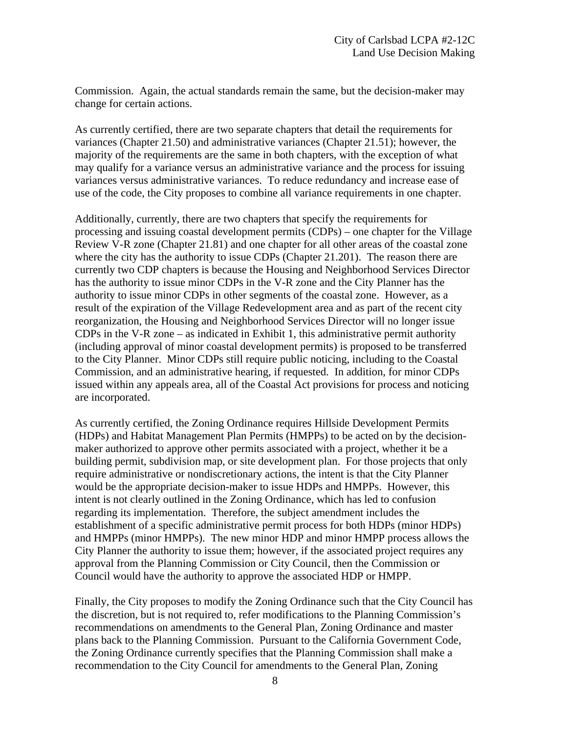Commission. Again, the actual standards remain the same, but the decision-maker may change for certain actions.

As currently certified, there are two separate chapters that detail the requirements for variances (Chapter 21.50) and administrative variances (Chapter 21.51); however, the majority of the requirements are the same in both chapters, with the exception of what may qualify for a variance versus an administrative variance and the process for issuing variances versus administrative variances. To reduce redundancy and increase ease of use of the code, the City proposes to combine all variance requirements in one chapter.

Additionally, currently, there are two chapters that specify the requirements for processing and issuing coastal development permits (CDPs) – one chapter for the Village Review V-R zone (Chapter 21.81) and one chapter for all other areas of the coastal zone where the city has the authority to issue CDPs (Chapter 21.201). The reason there are currently two CDP chapters is because the Housing and Neighborhood Services Director has the authority to issue minor CDPs in the V-R zone and the City Planner has the authority to issue minor CDPs in other segments of the coastal zone. However, as a result of the expiration of the Village Redevelopment area and as part of the recent city reorganization, the Housing and Neighborhood Services Director will no longer issue CDPs in the V-R zone – as indicated in Exhibit 1, this administrative permit authority (including approval of minor coastal development permits) is proposed to be transferred to the City Planner. Minor CDPs still require public noticing, including to the Coastal Commission, and an administrative hearing, if requested. In addition, for minor CDPs issued within any appeals area, all of the Coastal Act provisions for process and noticing are incorporated.

As currently certified, the Zoning Ordinance requires Hillside Development Permits (HDPs) and Habitat Management Plan Permits (HMPPs) to be acted on by the decisionmaker authorized to approve other permits associated with a project, whether it be a building permit, subdivision map, or site development plan. For those projects that only require administrative or nondiscretionary actions, the intent is that the City Planner would be the appropriate decision-maker to issue HDPs and HMPPs. However, this intent is not clearly outlined in the Zoning Ordinance, which has led to confusion regarding its implementation. Therefore, the subject amendment includes the establishment of a specific administrative permit process for both HDPs (minor HDPs) and HMPPs (minor HMPPs). The new minor HDP and minor HMPP process allows the City Planner the authority to issue them; however, if the associated project requires any approval from the Planning Commission or City Council, then the Commission or Council would have the authority to approve the associated HDP or HMPP.

Finally, the City proposes to modify the Zoning Ordinance such that the City Council has the discretion, but is not required to, refer modifications to the Planning Commission's recommendations on amendments to the General Plan, Zoning Ordinance and master plans back to the Planning Commission. Pursuant to the California Government Code, the Zoning Ordinance currently specifies that the Planning Commission shall make a recommendation to the City Council for amendments to the General Plan, Zoning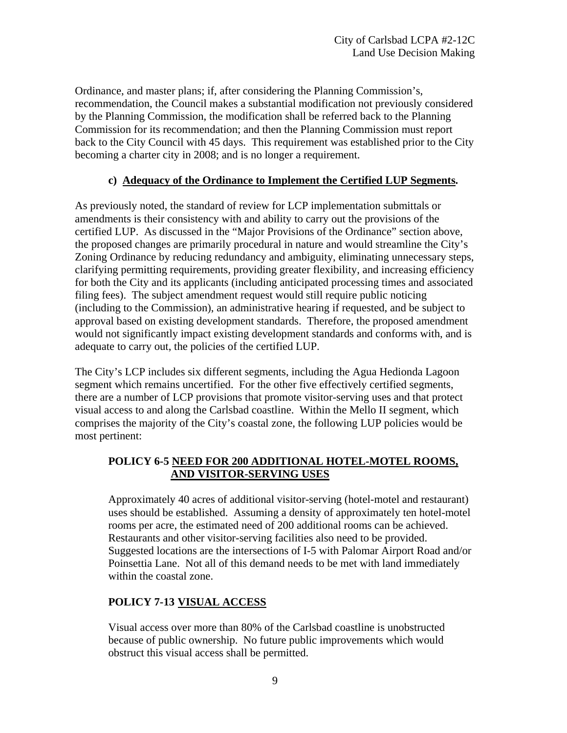Ordinance, and master plans; if, after considering the Planning Commission's, recommendation, the Council makes a substantial modification not previously considered by the Planning Commission, the modification shall be referred back to the Planning Commission for its recommendation; and then the Planning Commission must report back to the City Council with 45 days. This requirement was established prior to the City becoming a charter city in 2008; and is no longer a requirement.

### **c) Adequacy of the Ordinance to Implement the Certified LUP Segments.**

As previously noted, the standard of review for LCP implementation submittals or amendments is their consistency with and ability to carry out the provisions of the certified LUP. As discussed in the "Major Provisions of the Ordinance" section above, the proposed changes are primarily procedural in nature and would streamline the City's Zoning Ordinance by reducing redundancy and ambiguity, eliminating unnecessary steps, clarifying permitting requirements, providing greater flexibility, and increasing efficiency for both the City and its applicants (including anticipated processing times and associated filing fees). The subject amendment request would still require public noticing (including to the Commission), an administrative hearing if requested, and be subject to approval based on existing development standards. Therefore, the proposed amendment would not significantly impact existing development standards and conforms with, and is adequate to carry out, the policies of the certified LUP.

The City's LCP includes six different segments, including the Agua Hedionda Lagoon segment which remains uncertified. For the other five effectively certified segments, there are a number of LCP provisions that promote visitor-serving uses and that protect visual access to and along the Carlsbad coastline. Within the Mello II segment, which comprises the majority of the City's coastal zone, the following LUP policies would be most pertinent:

### **POLICY 6-5 NEED FOR 200 ADDITIONAL HOTEL-MOTEL ROOMS, AND VISITOR-SERVING USES**

Approximately 40 acres of additional visitor-serving (hotel-motel and restaurant) uses should be established. Assuming a density of approximately ten hotel-motel rooms per acre, the estimated need of 200 additional rooms can be achieved. Restaurants and other visitor-serving facilities also need to be provided. Suggested locations are the intersections of I-5 with Palomar Airport Road and/or Poinsettia Lane. Not all of this demand needs to be met with land immediately within the coastal zone.

### **POLICY 7-13 VISUAL ACCESS**

Visual access over more than 80% of the Carlsbad coastline is unobstructed because of public ownership. No future public improvements which would obstruct this visual access shall be permitted.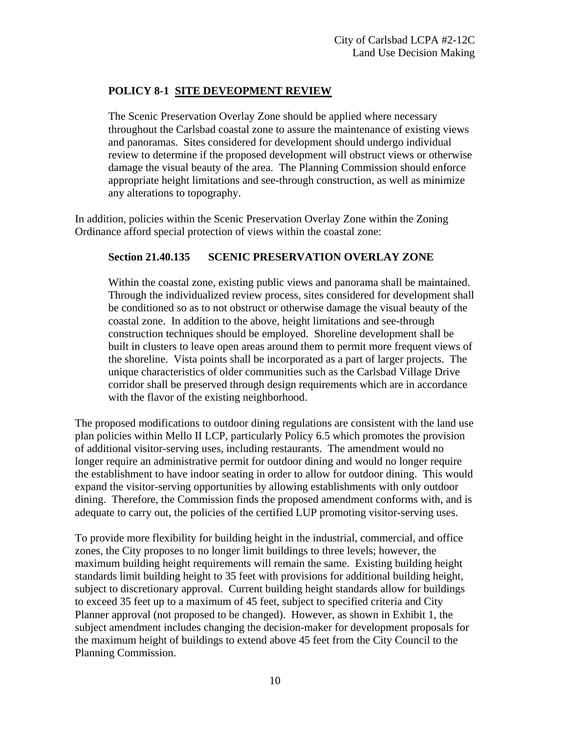### **POLICY 8-1 SITE DEVEOPMENT REVIEW**

 The Scenic Preservation Overlay Zone should be applied where necessary throughout the Carlsbad coastal zone to assure the maintenance of existing views and panoramas. Sites considered for development should undergo individual review to determine if the proposed development will obstruct views or otherwise damage the visual beauty of the area. The Planning Commission should enforce appropriate height limitations and see-through construction, as well as minimize any alterations to topography.

In addition, policies within the Scenic Preservation Overlay Zone within the Zoning Ordinance afford special protection of views within the coastal zone:

### **Section 21.40.135 SCENIC PRESERVATION OVERLAY ZONE**

Within the coastal zone, existing public views and panorama shall be maintained. Through the individualized review process, sites considered for development shall be conditioned so as to not obstruct or otherwise damage the visual beauty of the coastal zone. In addition to the above, height limitations and see-through construction techniques should be employed. Shoreline development shall be built in clusters to leave open areas around them to permit more frequent views of the shoreline. Vista points shall be incorporated as a part of larger projects. The unique characteristics of older communities such as the Carlsbad Village Drive corridor shall be preserved through design requirements which are in accordance with the flavor of the existing neighborhood.

The proposed modifications to outdoor dining regulations are consistent with the land use plan policies within Mello II LCP, particularly Policy 6.5 which promotes the provision of additional visitor-serving uses, including restaurants. The amendment would no longer require an administrative permit for outdoor dining and would no longer require the establishment to have indoor seating in order to allow for outdoor dining. This would expand the visitor-serving opportunities by allowing establishments with only outdoor dining. Therefore, the Commission finds the proposed amendment conforms with, and is adequate to carry out, the policies of the certified LUP promoting visitor-serving uses.

To provide more flexibility for building height in the industrial, commercial, and office zones, the City proposes to no longer limit buildings to three levels; however, the maximum building height requirements will remain the same. Existing building height standards limit building height to 35 feet with provisions for additional building height, subject to discretionary approval. Current building height standards allow for buildings to exceed 35 feet up to a maximum of 45 feet, subject to specified criteria and City Planner approval (not proposed to be changed). However, as shown in Exhibit 1, the subject amendment includes changing the decision-maker for development proposals for the maximum height of buildings to extend above 45 feet from the City Council to the Planning Commission.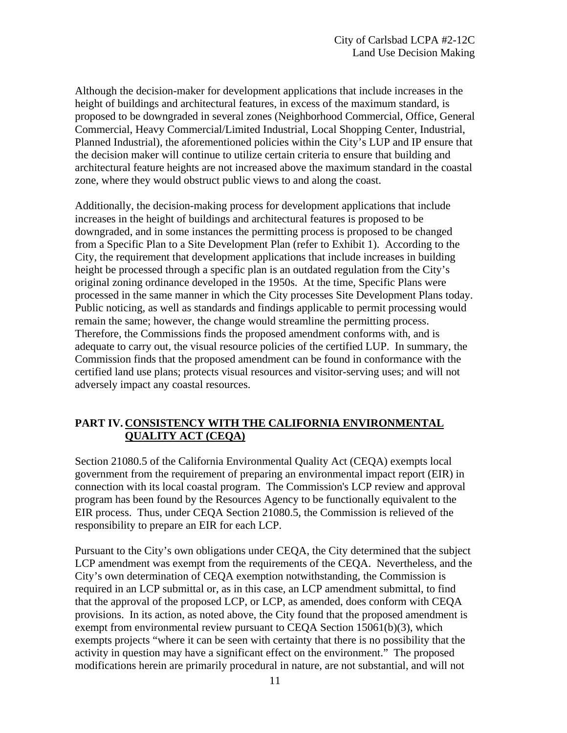Although the decision-maker for development applications that include increases in the height of buildings and architectural features, in excess of the maximum standard, is proposed to be downgraded in several zones (Neighborhood Commercial, Office, General Commercial, Heavy Commercial/Limited Industrial, Local Shopping Center, Industrial, Planned Industrial), the aforementioned policies within the City's LUP and IP ensure that the decision maker will continue to utilize certain criteria to ensure that building and architectural feature heights are not increased above the maximum standard in the coastal zone, where they would obstruct public views to and along the coast.

Additionally, the decision-making process for development applications that include increases in the height of buildings and architectural features is proposed to be downgraded, and in some instances the permitting process is proposed to be changed from a Specific Plan to a Site Development Plan (refer to Exhibit 1). According to the City, the requirement that development applications that include increases in building height be processed through a specific plan is an outdated regulation from the City's original zoning ordinance developed in the 1950s. At the time, Specific Plans were processed in the same manner in which the City processes Site Development Plans today. Public noticing, as well as standards and findings applicable to permit processing would remain the same; however, the change would streamline the permitting process. Therefore, the Commissions finds the proposed amendment conforms with, and is adequate to carry out, the visual resource policies of the certified LUP. In summary, the Commission finds that the proposed amendment can be found in conformance with the certified land use plans; protects visual resources and visitor-serving uses; and will not adversely impact any coastal resources.

### **PART IV. CONSISTENCY WITH THE CALIFORNIA ENVIRONMENTAL QUALITY ACT (CEQA)**

Section 21080.5 of the California Environmental Quality Act (CEQA) exempts local government from the requirement of preparing an environmental impact report (EIR) in connection with its local coastal program. The Commission's LCP review and approval program has been found by the Resources Agency to be functionally equivalent to the EIR process. Thus, under CEQA Section 21080.5, the Commission is relieved of the responsibility to prepare an EIR for each LCP.

Pursuant to the City's own obligations under CEQA, the City determined that the subject LCP amendment was exempt from the requirements of the CEQA. Nevertheless, and the City's own determination of CEQA exemption notwithstanding, the Commission is required in an LCP submittal or, as in this case, an LCP amendment submittal, to find that the approval of the proposed LCP, or LCP, as amended, does conform with CEQA provisions. In its action, as noted above, the City found that the proposed amendment is exempt from environmental review pursuant to CEQA Section 15061(b)(3), which exempts projects "where it can be seen with certainty that there is no possibility that the activity in question may have a significant effect on the environment." The proposed modifications herein are primarily procedural in nature, are not substantial, and will not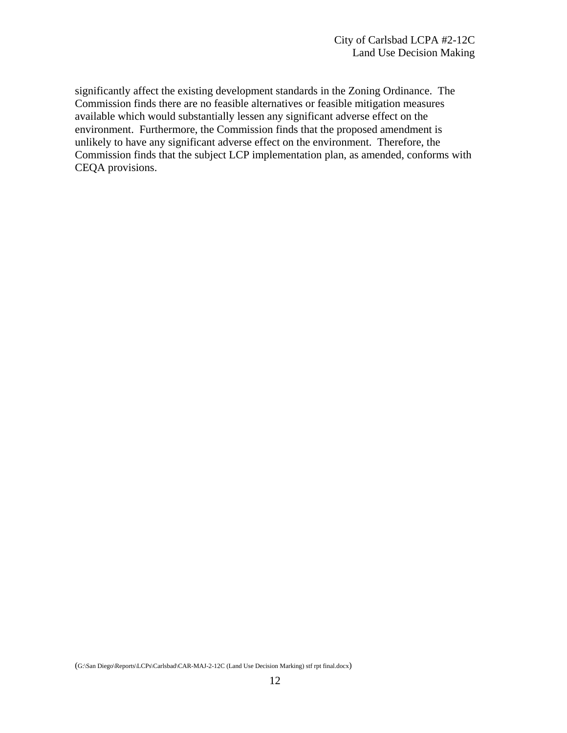significantly affect the existing development standards in the Zoning Ordinance. The Commission finds there are no feasible alternatives or feasible mitigation measures available which would substantially lessen any significant adverse effect on the environment. Furthermore, the Commission finds that the proposed amendment is unlikely to have any significant adverse effect on the environment. Therefore, the Commission finds that the subject LCP implementation plan, as amended, conforms with CEQA provisions.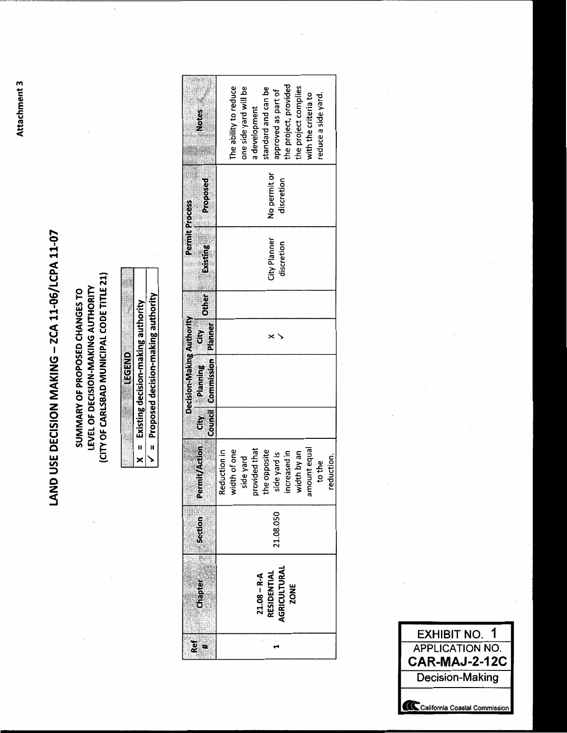# LAND USE DECISION MAKING - ZCA 11-06/LCPA 11-07

(CITY OF CARLSBAD MUNICIPAL CODE TITLE 21) LEVEL OF DECISION-MAKING AUTHORITY SUMMARY OF PROPOSED CHANGES TO

| i              |
|----------------|
|                |
|                |
|                |
|                |
|                |
|                |
|                |
|                |
|                |
|                |
|                |
|                |
| Ì              |
|                |
|                |
|                |
|                |
|                |
|                |
|                |
|                |
|                |
|                |
|                |
|                |
|                |
|                |
|                |
|                |
|                |
|                |
|                |
|                |
|                |
|                |
|                |
|                |
|                |
|                |
|                |
|                |
|                |
|                |
|                |
|                |
|                |
|                |
|                |
|                |
|                |
|                |
|                |
|                |
|                |
|                |
|                |
|                |
|                |
|                |
| lecision-makin |
|                |
|                |
|                |
|                |
|                |
|                |
|                |
|                |
|                |
|                |
|                |
|                |
|                |
|                |
|                |
|                |
|                |
|                |
|                |
|                |
|                |
|                |
|                |
|                |
|                |
|                |
|                |
|                |
|                |
|                |
|                |
|                |
|                |
|                |
|                |
|                |
|                |
|                |
|                |
|                |

= Proposed decision-making authority ↘

|                           | Notes                                 |              | The ability to reduce | one side yard will be | a development | standard and can be | approved as part of         | the project, provided | the project complies | with the criteria to | reduce a side yard. |            |
|---------------------------|---------------------------------------|--------------|-----------------------|-----------------------|---------------|---------------------|-----------------------------|-----------------------|----------------------|----------------------|---------------------|------------|
|                           | Proposed                              |              |                       |                       |               |                     | No permit or<br>discretion  |                       |                      |                      |                     |            |
| <b>Permit Process</b>     | <b>Existing</b>                       |              |                       |                       |               | City Planner        | discretion                  |                       |                      |                      |                     |            |
|                           |                                       |              |                       |                       |               |                     |                             |                       |                      |                      |                     |            |
|                           |                                       |              |                       |                       |               |                     |                             |                       |                      |                      |                     |            |
| Decision-Making Authority | Council Commission   Planner          |              |                       |                       |               |                     |                             |                       |                      |                      |                     |            |
|                           |                                       |              |                       |                       |               |                     |                             |                       |                      |                      |                     |            |
|                           | ermit/Action City Planning City Other | Reduction in | width of one          | side yard             | provided that | the opposite        | side yard is                | increased in          | width by an          | amount equal         | to the              | reduction. |
|                           | Section                               |              |                       |                       |               |                     | 21.08.050                   |                       |                      |                      |                     |            |
|                           | Chapter                               |              |                       |                       |               | $21.08 - R - A$     | AGRICULTURAL<br>RESIDENTIAL | ZONE                  |                      |                      |                     |            |
| 2ef                       |                                       |              |                       |                       |               |                     |                             |                       |                      |                      |                     |            |

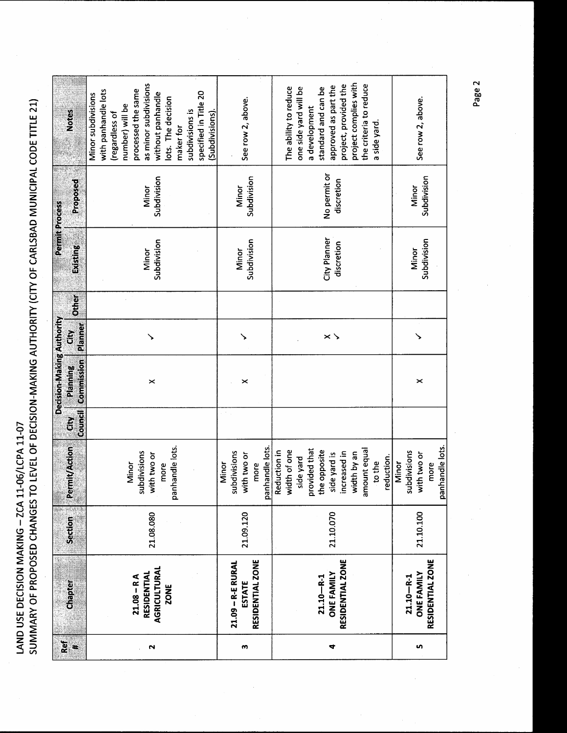|                           | <b>Notes</b>                  | as minor subdivisions<br>processed the same<br>with panhandle lots<br>specified in Title 20<br>without panhandle<br>Minor subdivisions<br>lots. The decision<br>number) will be<br>subdivisions is<br>(Subdivisions)<br>(regardless of<br>maker for | See row 2, above.                                               | project complies with<br>project, provided the<br>the criteria to reduce<br>approved as part the<br>The ability to reduce<br>one side yard will be<br>standard and can be<br>a development<br>a side yard | See row 2, above.                                               |
|---------------------------|-------------------------------|-----------------------------------------------------------------------------------------------------------------------------------------------------------------------------------------------------------------------------------------------------|-----------------------------------------------------------------|-----------------------------------------------------------------------------------------------------------------------------------------------------------------------------------------------------------|-----------------------------------------------------------------|
|                           | À<br>Proposed                 | Subdivision<br>Minor                                                                                                                                                                                                                                | Subdivision<br>Minor                                            | No permit or<br>discretion                                                                                                                                                                                | Subdivision<br>Minor                                            |
| <b>Permit Process</b>     | Existing                      | Subdivision<br>Minor                                                                                                                                                                                                                                | Subdivision<br>Minor                                            | City Planner<br>discretion                                                                                                                                                                                | Subdivision<br>Minor                                            |
|                           | <b>Other</b>                  |                                                                                                                                                                                                                                                     |                                                                 |                                                                                                                                                                                                           |                                                                 |
|                           | Planner<br>Ğ                  |                                                                                                                                                                                                                                                     |                                                                 | $\times$ $\times$                                                                                                                                                                                         | ↘                                                               |
| Decision-Making Authority | <b>Commission</b><br>Planning | ×                                                                                                                                                                                                                                                   | ×                                                               |                                                                                                                                                                                                           | ×                                                               |
|                           | Council<br>č                  |                                                                                                                                                                                                                                                     |                                                                 |                                                                                                                                                                                                           |                                                                 |
|                           | Permit/Action                 | panhandle lots.<br>subdivisions<br>with two or<br>Minor<br>more                                                                                                                                                                                     | panhandle lots.<br>subdivisions<br>with two or<br>Minor<br>more | provided that<br>the opposite<br>amount equal<br>width of one<br>Reduction in<br>side yard is<br>increased in<br>width by an<br>reduction.<br>side yard<br>to the                                         | panhandle lots.<br>subdivisions<br>with two or<br>Minor<br>more |
|                           | Section                       | 21.08.080                                                                                                                                                                                                                                           | 21.09.120                                                       | 21.10.070                                                                                                                                                                                                 | 21.10.100                                                       |
|                           | Chapter                       | <b>AGRICULTURAL</b><br><b>RESIDENTIAL</b><br>$21.08 - R A$<br><b>ZONE</b>                                                                                                                                                                           | RESIDENTIAL ZONE<br>21.09 - R-E RURAL<br><b>ESTATE</b>          | RESIDENTIAL ZONE<br><b>ONE FAMILY</b><br>$21.10 - R - 1$                                                                                                                                                  | RESIDENTIAL ZONE<br><b>ONE FAMILY</b><br>$21.10 - R - 1$        |
|                           | Ref<br>X                      | N                                                                                                                                                                                                                                                   | m                                                               | 4                                                                                                                                                                                                         | m                                                               |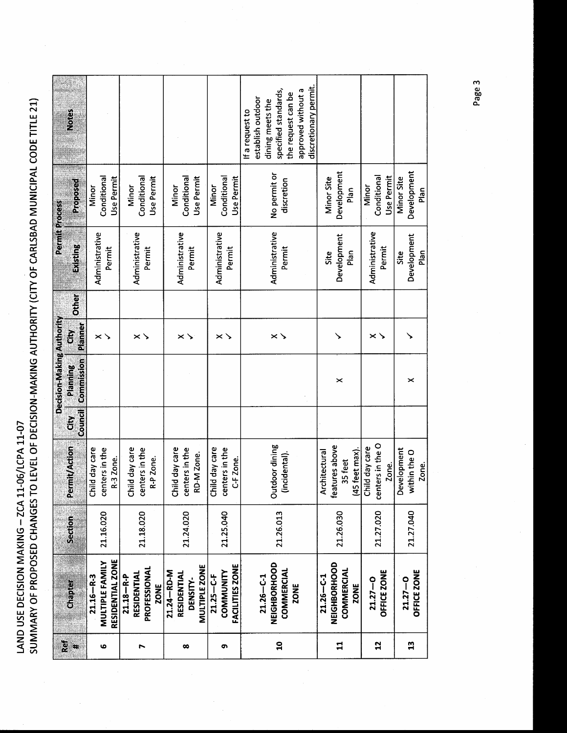|                 |                        |                |                                    |                | Decision-Making Authority |                     |              | Permit Process |                      |                       |
|-----------------|------------------------|----------------|------------------------------------|----------------|---------------------------|---------------------|--------------|----------------|----------------------|-----------------------|
| Ref<br>×        | Chapter                | <b>Section</b> | <b>Permit/Action</b>               | Ğ              | Planning                  | Ğ                   | <b>Other</b> | Existing       | Proposed             | Notes                 |
|                 |                        |                |                                    | <b>Council</b> | Commission                | Planner             |              |                |                      |                       |
|                 | $21.16 - R-3$          |                | Child day care                     |                |                           |                     |              | Administrative | Minor                |                       |
| ဖ               | MULTIPLE FAMILY        | 21.16.020      | centers in the                     |                |                           | $\times$ $\searrow$ |              |                | Conditional          |                       |
|                 | RESIDENTIAL ZONE       |                | R-3 Zone.                          |                |                           |                     |              | Permit         | Use Permit           |                       |
|                 | $21.18 - R - P$        |                | Child day care                     |                |                           |                     |              |                | Minor                |                       |
|                 | RESIDENTIAL            |                |                                    |                |                           | $\times$ $\times$   |              | Administrative |                      |                       |
| r               | PROFESSIONAL           | 21.18.020      | centers in the                     |                |                           |                     |              | Permit         | Conditional          |                       |
|                 | ZONE                   |                | R-P Zone.                          |                |                           |                     |              |                | Use Permit           |                       |
|                 | 21.24-RD-M             |                |                                    |                |                           |                     |              |                |                      |                       |
|                 | <b>RESIDENTIAI</b>     |                | Child day care                     |                |                           |                     |              | Administrative | Minor                |                       |
| œ               | DENSITY-               | 21.24.020      | centers in the                     |                |                           | $\times$ $\times$   |              | Permit         | Conditional          |                       |
|                 | MULTIPLE ZONE          |                | RD-M Zone.                         |                |                           |                     |              |                | Use Permit           |                       |
|                 | $21.25 - C - F$        |                | Child day care                     |                |                           |                     |              |                | Minor                |                       |
| <u>ጣ</u>        | COMMUNITY              | 21.25.040      | centers in the                     |                |                           | $\times$ $\times$   |              | Administrative | Conditional          |                       |
|                 | <b>FACILITIES ZONE</b> |                | C-F Zone.                          |                |                           |                     |              | Permit         | Use Permit           |                       |
|                 |                        |                |                                    |                |                           |                     |              |                |                      | If a request to       |
|                 | $21.26 - C - 1$        |                |                                    |                |                           |                     |              |                |                      | establish outdoor     |
|                 | NEIGHBORHOOD           |                | Outdoor dining                     |                |                           |                     |              | Administrative | No permit or         | dining meets the      |
| $\mathbf{a}$    | <b>COMMERCIAL</b>      | 21.26.013      | (incidental)                       |                |                           | $\times$ $\searrow$ |              | Permit         | discretion           | specified standards,  |
|                 | <b>ZONE</b>            |                |                                    |                |                           |                     |              |                |                      | the request can be    |
|                 |                        |                |                                    |                |                           |                     |              |                |                      | approved without a    |
|                 |                        |                |                                    |                |                           |                     |              |                |                      | discretionary permit. |
|                 | $21.26 - C - 1$        |                | Architectural                      |                |                           |                     |              | Site<br>Site   | Minor Site           |                       |
| $\mathbf{r}$    | NEIGHBORHOOD           | 21.26.030      | features above                     |                | ×                         |                     |              | Development    | Development          |                       |
|                 | <b>COMMERCIAL</b>      |                | 35 feet                            |                |                           |                     |              | Plan           | Plan                 |                       |
|                 | ZONE                   |                | (45 feet max).                     |                |                           |                     |              |                |                      |                       |
| $\overline{1}$  | $21.27 - 0$            | 21.27.020      | centers in the O<br>Child day care |                |                           | $\times$ $\times$   |              | Administrative | Conditional<br>Minor |                       |
|                 | OFFICE ZONE            |                | Zone.                              |                |                           |                     |              | Permit         | Use Permit           |                       |
|                 |                        |                | Development                        |                |                           |                     |              | Site           | Minor Site           |                       |
| $\overline{13}$ | $21.27 - 0$            | 21.27.040      | within the O                       |                | ×                         |                     |              | Development    | Development          |                       |
|                 | OFFICE ZONE            |                | Zone.                              |                |                           |                     |              | Plan           | Plan                 |                       |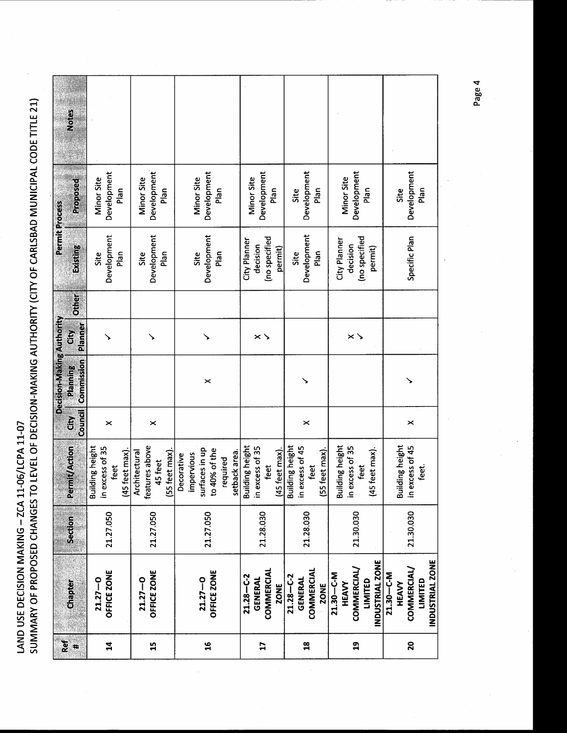| Ref            |                          |           |                           |                | Decision-Making Authority |                   |              | Permit Process            |                 |       |
|----------------|--------------------------|-----------|---------------------------|----------------|---------------------------|-------------------|--------------|---------------------------|-----------------|-------|
| #              | <b>Chapter</b>           | Section   | <b>Permit/Action</b>      | $\tilde{E}$    | Planning                  | Ğ                 | <b>Other</b> | Existing                  | <b>Proposed</b> | Notes |
|                |                          |           |                           | <b>Council</b> | Commission                | Planner           |              |                           |                 |       |
|                | $21.27 - 0$              |           | <b>Building height</b>    |                |                           |                   |              | Site                      | Minor Site      |       |
| $\mathbf{1}$   | OFFICE ZONE              | 21.27.050 | in excess of 35<br>feet   | ×              |                           |                   |              | Development               | Development     |       |
|                |                          |           | (45 feet max)             |                |                           |                   |              | Plan                      | Plan            |       |
|                | $21.27 - 0$              |           | Architectural             |                |                           |                   |              | Site                      | Minor Site      |       |
| $\mathbf{15}$  | OFFICE ZONE              | 21.27.050 | features above            | $\times$       |                           |                   |              | Development               | Development     |       |
|                |                          |           | (55 feet max)<br>45 feet  |                |                           |                   |              | Plan                      | Plan            |       |
|                |                          |           | Decorative                |                |                           |                   |              |                           |                 |       |
|                |                          |           | mpervious                 |                |                           |                   |              | Site                      | Minor Site      |       |
| $\mathbf{a}$   | $21.27 - 0$              | 21.27.050 | surfaces in up            |                | ×                         |                   |              | Development               | Development     |       |
|                | OFFICE ZONE              |           | to 40% of the             |                |                           |                   |              | Plan                      | Plan            |       |
|                |                          |           | setback area.<br>required |                |                           |                   |              |                           |                 |       |
|                | $21.28 - C - 2$          |           | <b>Building height</b>    |                |                           |                   |              | City Planner              |                 |       |
|                | GENERAL                  |           | in excess of 35           |                |                           |                   |              | decision                  | Minor Site      |       |
| $\overline{1}$ | COMMERCIAL               | 21.28.030 | feet                      |                |                           | $\times$ $\times$ |              | (no specified             | Development     |       |
|                | <b>ZONE</b>              |           | (45 feet max)             |                |                           |                   |              | permit)                   | Plan            |       |
|                | $21.28 - C - 2$          |           | <b>Building height</b>    |                |                           |                   |              | Site                      | Site            |       |
| $\frac{8}{10}$ | <b>GENERAL</b>           | 21.28.030 | in excess of 45           | ×              |                           |                   |              | Development               | Development     |       |
|                | <b>COMMERCIAL</b>        |           | feet                      |                |                           |                   |              | Plan                      | Plan            |       |
|                | <b>ZONE</b>              |           | (55 feet max).            |                |                           |                   |              |                           |                 |       |
|                | $21.30 - C - M$<br>HEAVY |           | <b>Building height</b>    |                |                           |                   |              | City Planner              | Minor Site      |       |
| $\mathbf{a}$   | COMMERCIAL/              | 21.30.030 | in excess of 35<br>feet   |                |                           | $\times$ $\times$ |              | (no specified<br>decision | Development     |       |
|                | LIMITED                  |           | (45 feet max).            |                |                           |                   |              | permit)                   | plan            |       |
|                | INDUSTRIAL ZONE          |           |                           |                |                           |                   |              |                           |                 |       |
|                | 21.30-C-M                |           |                           |                |                           |                   |              |                           |                 |       |
|                | HEAVY                    |           | <b>Building height</b>    |                |                           |                   |              |                           | Site            |       |
| 20             | COMMERCIAL/              | 21.30.030 | in excess of 45           | $\times$       |                           |                   |              | Specific Plan             | Development     |       |
|                | LIMITED                  |           | feet.                     |                |                           |                   |              |                           | Plan            |       |
|                | INDUSTRIAL ZONE          |           |                           |                |                           |                   |              |                           |                 |       |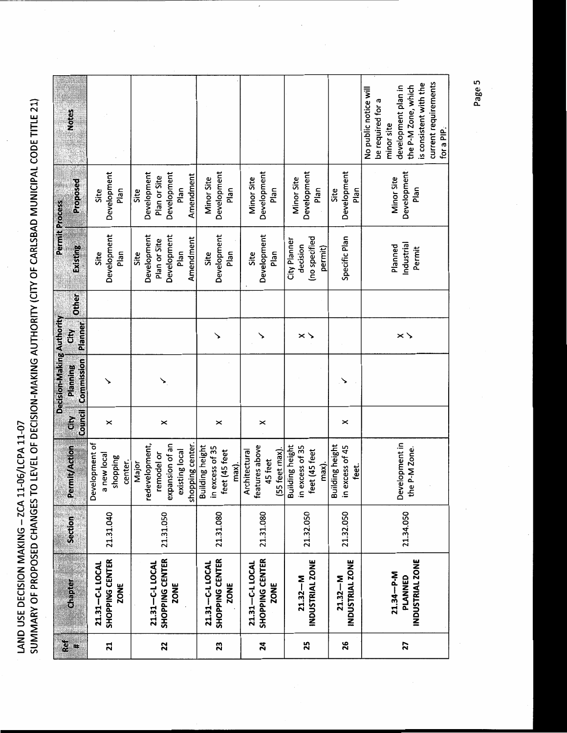|           |                                                      |           |                                                                                                |          | Decision-Making Authority |                     |              | <b>Permit Process</b>                                                   |                                                                         |                                                                                                                                                                        |
|-----------|------------------------------------------------------|-----------|------------------------------------------------------------------------------------------------|----------|---------------------------|---------------------|--------------|-------------------------------------------------------------------------|-------------------------------------------------------------------------|------------------------------------------------------------------------------------------------------------------------------------------------------------------------|
| Ref<br>×, | Chapter                                              | Section   | Permit/Action                                                                                  | <b>E</b> | Planning                  | City                | <b>Other</b> | Existing                                                                | Proposed                                                                | <b>Notes</b>                                                                                                                                                           |
|           |                                                      |           |                                                                                                | Council  | Commission                | Planner             |              |                                                                         |                                                                         |                                                                                                                                                                        |
| ដ         | SHOPPING CENTER<br>21.31-C-L LOCAL<br>ZONE           | 21.31.040 | Development of<br>new local<br>shopping<br>center.<br>œ                                        | ×        |                           |                     |              | Development<br>Plan<br>Site                                             | Development<br>Plan<br>Site                                             |                                                                                                                                                                        |
| 22        | SHOPPING CENTER<br>21.31-C-L LOCAL<br><b>ZONE</b>    | 21.31.050 | shopping center.<br>redevelopment,<br>expansion of an<br>existing local<br>remodel or<br>Major | ×        |                           |                     |              | Development<br>Development<br>Amendment<br>Plan or Site<br>Plan<br>Site | Development<br>Development<br>Amendment<br>Plan or Site<br>Plan<br>Site |                                                                                                                                                                        |
| 23        | SHOPPING CENTER<br>21.31-C-LLOCAL<br>ZONE            | 21.31.080 | Building height<br>in excess of 35<br>feet (45 feet<br>max).                                   | ×        |                           |                     |              | Development<br>Plan<br>Site                                             | Development<br>Minor Site<br>Plan                                       |                                                                                                                                                                        |
| 24        | SHOPPING CENTER<br>21.31-C-L LOCAL<br>ZONE           | 21.31.080 | features above<br>Architectural<br>(55 feet max)<br>45 feet                                    | ×        |                           |                     |              | Development<br>Plan<br>Site                                             | Development<br>Minor Site<br>Plan                                       |                                                                                                                                                                        |
| 25        | <b>INDUSTRIAL ZONE</b><br>$21.32 - M$                | 21.32.050 | <b>Building height</b><br>in excess of 35<br>feet (45 feet<br>max).                            |          |                           | $\times$ $\searrow$ |              | (no specified<br>City Planner<br>decision<br>permit)                    | Development<br>Minor Site<br>Plan                                       |                                                                                                                                                                        |
| 26        | <b>INDUSTRIAL ZONE</b><br>$21.32 - M$                | 21.32.050 | <b>Building height</b><br>in excess of 45<br>feet.                                             | ×        |                           |                     |              | Specific Plan                                                           | Development<br>Plan<br>Site                                             |                                                                                                                                                                        |
| 27        | <b>INDUSTRIAL ZONE</b><br>$21.34 - P - M$<br>PLANNED | 21.34.050 | Development in<br>the P-M Zone.                                                                |          |                           | $\times$ $\times$   |              | Industrial<br>Planned<br>Permit                                         | Development<br>Minor Site<br>Plan                                       | current requirements<br>is consistent with the<br>the P-M Zone, which<br>development plan in<br>No public notice will<br>be required for a<br>minor site<br>for a PIP. |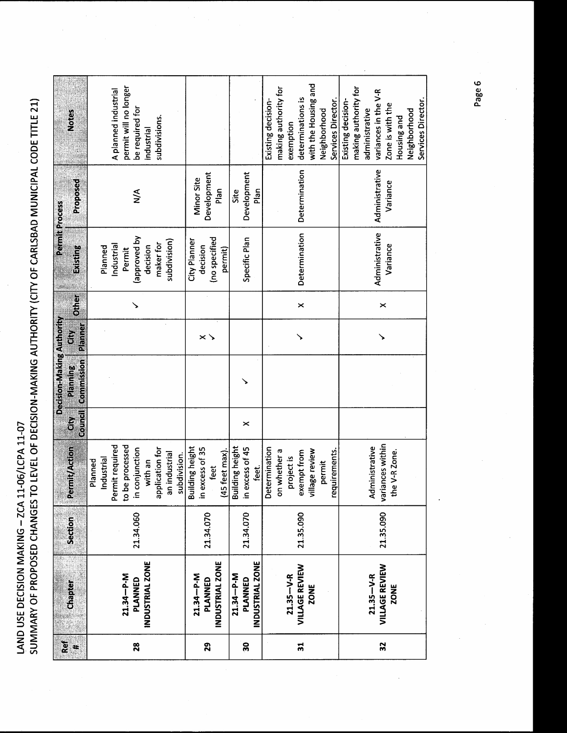|                 |                        |           |                                    |         | Decision-Making Authority |                     |              | <b>Permit Process</b> |                |                       |
|-----------------|------------------------|-----------|------------------------------------|---------|---------------------------|---------------------|--------------|-----------------------|----------------|-----------------------|
| Ref<br>×        | Chapter                | Section   | Permit/Action                      | Ğ       | Planning                  | ğ                   | <b>Other</b> | Existing              | Proposed       | <b>Notes</b>          |
|                 |                        |           |                                    | Council | Commission                | Planner             |              |                       |                |                       |
|                 |                        |           | Planned                            |         |                           |                     |              |                       |                |                       |
|                 |                        |           | Industrial                         |         |                           |                     |              | Planned               |                |                       |
|                 |                        |           | Permit required                    |         |                           |                     |              | Industrial            |                | A planned industrial  |
|                 | $21.34 - P - M$        |           | to be processed                    |         |                           |                     |              | Permit                |                | permit will no longer |
| 28              | PLANNED                | 21.34.060 | in conjunction                     |         |                           |                     |              | Aq pavoudde)          | $\leq$         | be required for       |
|                 | INDUSTRIAL ZONE        |           | with an                            |         |                           |                     |              | decision              |                | industrial            |
|                 |                        |           | plication for<br>ခူ                |         |                           |                     |              | maker for             |                | subdivisions.         |
|                 |                        |           | an industrial                      |         |                           |                     |              | subdivision)          |                |                       |
|                 |                        |           | subdivision.                       |         |                           |                     |              |                       |                |                       |
|                 |                        |           | <b>Building height</b>             |         |                           |                     |              | City Planner          |                |                       |
|                 | 21.34-P-M              |           | in excess of 35                    |         |                           | $\times$ $\searrow$ |              | decision              | Minor Site     |                       |
| 29              | PLANNED                | 21.34.070 | feet                               |         |                           |                     |              | (no specified         | Development    |                       |
|                 | <b>INDUSTRIAL ZONE</b> |           | (45 feet max).                     |         |                           |                     |              | permit)               | Plan           |                       |
|                 | $21.34 - P - M$        |           | <b>Building height</b>             |         |                           |                     |              |                       | Site           |                       |
| 50              | PLANNED                | 21.34.070 | in excess of 45                    | ×       |                           |                     |              | Specific Plan         | Development    |                       |
|                 | INDUSTRIAL ZONE        |           | feet.                              |         |                           |                     |              |                       | Plan           |                       |
|                 |                        |           | Determination                      |         |                           |                     |              |                       |                | Existing decision-    |
|                 |                        |           | on whether a                       |         |                           |                     |              |                       |                | making authority for  |
|                 | $21.35 - V - R$        |           | project is                         |         |                           |                     |              |                       |                | exemption             |
| $\overline{31}$ | <b>VILLAGE REVIEW</b>  | 21.35.090 | exempt from                        |         |                           | ↘                   | $\times$     | Determination         | Determination  | determinations is     |
|                 | <b>ZONE</b>            |           | village review                     |         |                           |                     |              |                       |                | with the Housing and  |
|                 |                        |           | permit                             |         |                           |                     |              |                       |                | Neighborhood          |
|                 |                        |           | requirements.                      |         |                           |                     |              |                       |                | Services Director.    |
|                 |                        |           |                                    |         |                           |                     |              |                       |                | Existing decision-    |
|                 |                        |           |                                    |         |                           |                     |              |                       |                | making authority for  |
|                 | $21.35 - V - R$        |           |                                    |         |                           |                     |              |                       |                | administrative        |
| 32              | <b>VILLAGE REVIEW</b>  | 21.35.090 | variances within<br>Administrative |         |                           |                     |              | Administrative        | Administrative | variances in the V-R  |
|                 |                        |           |                                    |         |                           |                     | ×            | Variance              | Variance       | Zone is with the      |
|                 | ZONE                   |           | the V-R Zone.                      |         |                           |                     |              |                       |                | Housing and           |
|                 |                        |           |                                    |         |                           |                     |              |                       |                | Neighborhood          |
|                 |                        |           |                                    |         |                           |                     |              |                       |                | Services Director.    |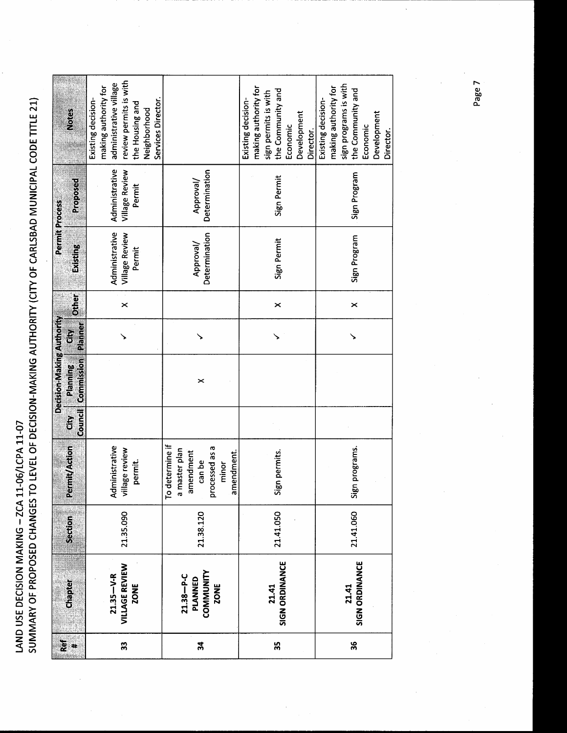$\frac{1}{2}$ 

|                 |                                                        |           |                                                                                                         |              | Decision-Making Authority |                                 |                       |                                                   | Permit Process                             |                                                                                                                                                         |
|-----------------|--------------------------------------------------------|-----------|---------------------------------------------------------------------------------------------------------|--------------|---------------------------|---------------------------------|-----------------------|---------------------------------------------------|--------------------------------------------|---------------------------------------------------------------------------------------------------------------------------------------------------------|
| $\frac{6}{6}$ # | <b>Chapter</b>                                         | Section   | <b>Permit/Action</b>                                                                                    | Council<br>š | Commission<br>Planning    | Planner<br>$\mathbf{\tilde{g}}$ | <b>Dific</b>          | Existing                                          | Proposed                                   | Notes                                                                                                                                                   |
| 33              | VILLAGE REVIEW<br>$21.35 - V - R$<br><b>ZONE</b>       | 21.35.090 | Administrative<br>village review<br>permit.                                                             |              |                           |                                 | $\times$              | Administrative<br><b>Village Review</b><br>Permit | Administrative<br>Village Review<br>Permit | review permits is with<br>administrative village<br>making authority for<br>Existing decision-<br>Services Director.<br>the Housing and<br>Neighborhood |
| 34              | COMMUNITY<br>$21.38 - P - C$<br>PLANNED<br><b>ZONE</b> | 21.38.120 | determine if<br>processed as a<br>a master plan<br>amendment<br>mendment.<br>can be<br>minor<br>Lo<br>G |              | ×                         |                                 |                       | Determination<br>Approval/                        | Determination<br>Approval/                 |                                                                                                                                                         |
| 55              | SIGN ORDINANCE<br>21.41                                | 21.41.050 | Sign permits.                                                                                           |              |                           |                                 | ×                     | Sign Permit                                       | Sign Permit                                | making authority for<br>the Community and<br>sign permits is with<br>Existing decision-<br>Development<br>Economic<br>Director.                         |
| 36              | <b>SIGN ORDINANCE</b><br>21.41                         | 21.41.060 | Sign programs.                                                                                          |              |                           |                                 | $\boldsymbol{\times}$ | Sign Program                                      | Sign Program                               | sign programs is with<br>making authority for<br>the Community and<br>Existing decision-<br>Development<br>Economic<br>Director.                        |

Page 7

 $\ddot{\cdot}$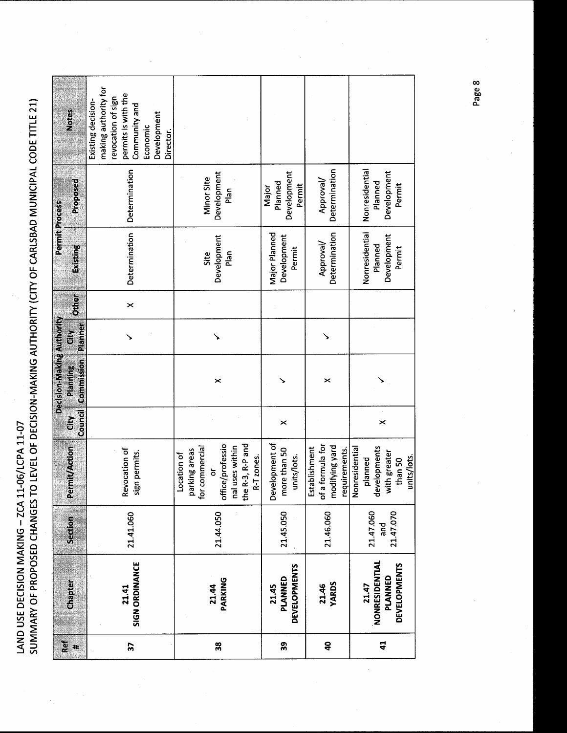| <b>Notes</b>                                        | making authority for<br>permits is with the<br>revocation of sign<br>Existing decision-<br>Community and<br>Development<br>Economic<br>Director. |                                                                                                                                           |                                               |                                                                          |                                                                                     |
|-----------------------------------------------------|--------------------------------------------------------------------------------------------------------------------------------------------------|-------------------------------------------------------------------------------------------------------------------------------------------|-----------------------------------------------|--------------------------------------------------------------------------|-------------------------------------------------------------------------------------|
| Proposed                                            | Determination                                                                                                                                    | Development<br>Minor Site<br>Plan                                                                                                         | Development<br>Planned<br>Permit<br>Major     | Determination<br>Approval/                                               | Nonresidential<br>Development<br>Planned<br>Permit                                  |
| Permit Process<br>Existing                          | Determination                                                                                                                                    | Development<br>Site<br>Plan                                                                                                               | Major Planned<br>Development<br>Permit        | Determination<br>Approval/                                               | Nonresidential<br>Development<br>Planned<br>Permit                                  |
| <b>Other</b>                                        | $\boldsymbol{\times}$                                                                                                                            |                                                                                                                                           |                                               |                                                                          |                                                                                     |
| Planner<br>Ğ                                        |                                                                                                                                                  |                                                                                                                                           |                                               |                                                                          |                                                                                     |
| Decision-Making Authority<br>Commission<br>Planning |                                                                                                                                                  | ×                                                                                                                                         |                                               | ×                                                                        |                                                                                     |
| Tourd]<br>$\mathbf{\tilde{g}}$                      |                                                                                                                                                  |                                                                                                                                           | ×                                             |                                                                          | $\times$                                                                            |
| <b>Permit/Action</b>                                | tevocation of<br>sign permits.                                                                                                                   | office/professio<br>nal uses within<br>the R-3, R-P and<br>for commercial<br>parking areas<br>Location of<br>R-T zones.<br>$\overline{5}$ | Development of<br>more than 50<br>units/lots. | f a formula for<br>modifying yard<br>Establishment<br>requirements.<br>ᅙ | levelopments<br>Nonresidential<br>with greater<br>units/lots.<br>planned<br>than 50 |
| Section                                             | 21.41.060                                                                                                                                        | 21.44.050                                                                                                                                 | 21.45.050                                     | 21.46.060                                                                | 21.47.060<br>21.47.070<br>and<br>a                                                  |
| Chapter                                             | <b>SIGN ORDINANCE</b><br>21.41                                                                                                                   | PARKING<br>21.44                                                                                                                          | <b>DEVELOPMENTS</b><br>PLANNED<br>21.45       | <b>YARDS</b><br>21.46                                                    | NONRESIDENTIAL<br><b>DEVELOPMENTS</b><br>PLANNED<br>21.47                           |
| ឨ<br>$\ast$                                         | $\overline{\mathbf{3}}$                                                                                                                          | 38                                                                                                                                        | 39                                            | $\boldsymbol{a}$                                                         | $\mathbf{d}$                                                                        |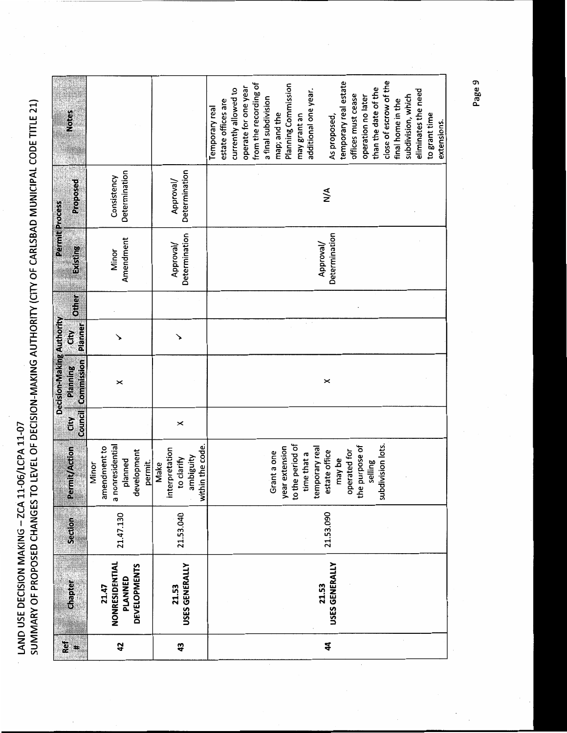|                           | <b>Notes</b>           |                                                                                |                                                                       | close of escrow of the<br>temporary real estate<br>from the recording of<br>Planning Commission<br>operate for one year<br>than the date of the<br>currently allowed to<br>additional one year.<br>eliminates the need<br>offices must cease<br>subdivision, which<br>operation no later<br>a final subdivision<br>estate offices are<br>final home in the<br>Temporary real<br>map; and the<br>to grant time<br>may grant an<br>As proposed,<br>extensions. |
|---------------------------|------------------------|--------------------------------------------------------------------------------|-----------------------------------------------------------------------|--------------------------------------------------------------------------------------------------------------------------------------------------------------------------------------------------------------------------------------------------------------------------------------------------------------------------------------------------------------------------------------------------------------------------------------------------------------|
| <b>Permit Process</b>     | Proposed               | Determination<br>Consistency                                                   | Determination<br>Approval/                                            | $\frac{4}{2}$                                                                                                                                                                                                                                                                                                                                                                                                                                                |
|                           | Existing               | Amendment<br>Minor                                                             | Determination<br>Approval/                                            | Determination<br>Approval/                                                                                                                                                                                                                                                                                                                                                                                                                                   |
|                           | Other                  |                                                                                |                                                                       |                                                                                                                                                                                                                                                                                                                                                                                                                                                              |
|                           | Planner<br>Gity        |                                                                                |                                                                       |                                                                                                                                                                                                                                                                                                                                                                                                                                                              |
| Decision-Making Authority | Commission<br>Planning | ×                                                                              |                                                                       | ×                                                                                                                                                                                                                                                                                                                                                                                                                                                            |
|                           | <b>Council</b><br>Ğ    |                                                                                | $\boldsymbol{\times}$                                                 |                                                                                                                                                                                                                                                                                                                                                                                                                                                              |
|                           | <b>Permit/Action</b>   | a nonresidential<br>amendment to<br>development<br>planned<br>permit.<br>Minor | within the code.<br>interpretation<br>ambiguity<br>to clarify<br>Make | year extension<br>to the period of<br>subdivision lots.<br>the purpose of<br>temporary real<br>estate office<br>operated for<br>Grant a one<br>time that a<br>may be<br>selling                                                                                                                                                                                                                                                                              |
|                           | Section                | 21.47.130                                                                      | 21.53.040                                                             | 21.53.090                                                                                                                                                                                                                                                                                                                                                                                                                                                    |
|                           | Chapter                | NONRESIDENTIAL<br><b>DEVELOPMENTS</b><br>PLANNED<br>21.47                      | USES GENERALLY<br>21.53                                               | USES GENERALLY<br>21.53                                                                                                                                                                                                                                                                                                                                                                                                                                      |
|                           | Ref<br>t.              | 42                                                                             | \$                                                                    | $\boldsymbol{4}$                                                                                                                                                                                                                                                                                                                                                                                                                                             |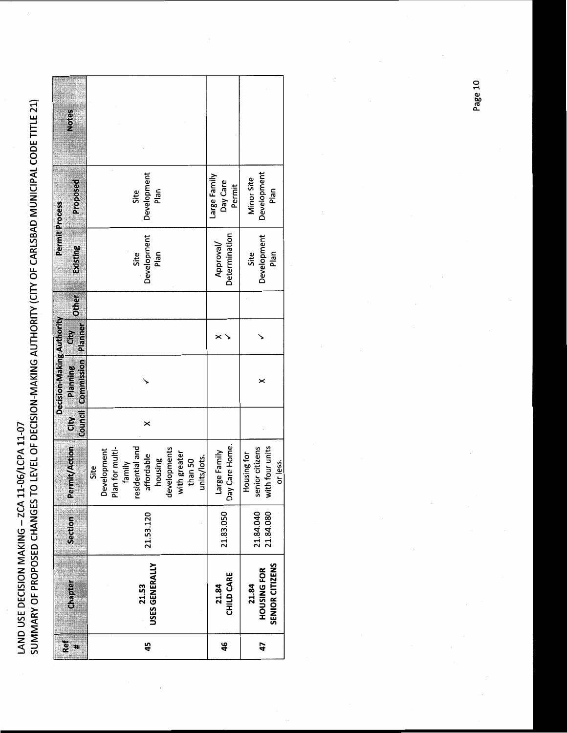|          |                    |                |                 |     | Decision-Making Authority                     |   |              | Permit Process |                          |              |
|----------|--------------------|----------------|-----------------|-----|-----------------------------------------------|---|--------------|----------------|--------------------------|--------------|
| Ref<br>× | Chapter            | <b>Section</b> | Permit/Action   | Gry | <b>Council Commission Planner</b><br>Planning | č | <b>Other</b> | Existing       | Proposed                 | <b>Notes</b> |
|          |                    |                | Site            |     |                                               |   |              |                |                          |              |
|          |                    |                | evelopment<br>ã |     |                                               |   |              |                |                          |              |
|          |                    |                | Plan for multi- |     |                                               |   |              |                |                          |              |
|          |                    |                | family          |     |                                               |   |              |                |                          |              |
|          |                    |                | residential and |     |                                               |   |              | Site           | Site                     |              |
| 45       | 21.53              | 21.53.120      | affordable      | ×   |                                               |   |              | Development    | Development              |              |
|          | USES GENERALLY     |                | housing         |     |                                               |   |              | Plan           | Plan                     |              |
|          |                    |                | developments    |     |                                               |   |              |                |                          |              |
|          |                    |                | with greater    |     |                                               |   |              |                |                          |              |
|          |                    |                | than 50         |     |                                               |   |              |                |                          |              |
|          |                    |                | units/lots.     |     |                                               |   |              |                |                          |              |
|          | 21.84              |                | arge Family     |     |                                               |   |              | Approval/      | Large Family<br>Day Care |              |
| 46       | CHILD CARE         | 21.83.050      | Day Care Home.  |     |                                               |   |              | Determination  | Permit                   |              |
|          | 21.84              |                | Housing for     |     |                                               |   |              | Site           | Minor Site               |              |
| 47       | <b>HOUSING FOR</b> | 21.84.040      | senior citizens |     |                                               |   |              | Development    | Development              |              |
|          |                    | 21.84.080      | with four units |     |                                               |   |              | Plan           | Plan                     |              |
|          | SENIOR CITIZENS    |                | or less.        |     |                                               |   |              |                |                          |              |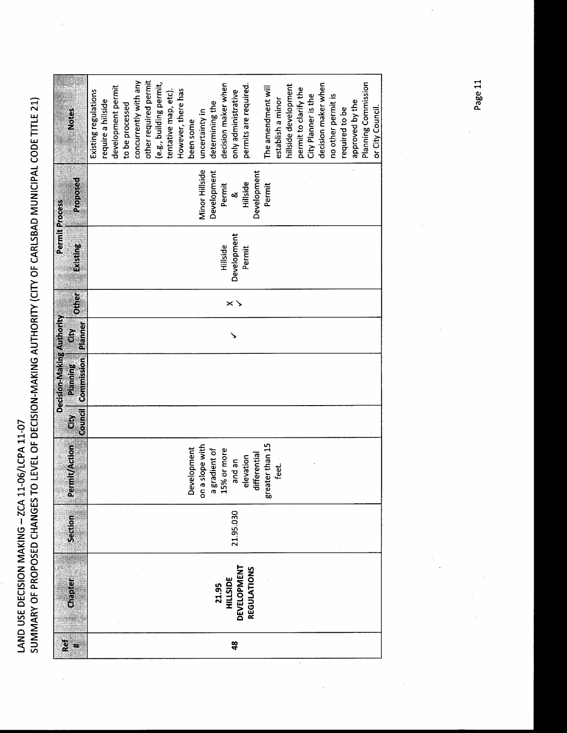SUMMARY OF PROPOSED CHANGES TO LEVEL OF DECISION-MAKING AUTHORITY (CITY OF CARLSBAD MUNICIPAL CODE TITLE 21) LAND USE DECISION MAKING - ZCA 11-06/LCPA 11-07

| Ref           |                          |           |                                     |                        | Decision-Making Authority |                     |                   | Permit Process |                |                         |
|---------------|--------------------------|-----------|-------------------------------------|------------------------|---------------------------|---------------------|-------------------|----------------|----------------|-------------------------|
| x             | Chapter                  | Section   | Permit/Action                       | <b>Council</b><br>čity | Commission<br>Planning    | <b>Planner</b><br>Ğ | <b>Other</b>      | Existing       | Proposed       | Notes                   |
|               |                          |           |                                     |                        |                           |                     |                   |                |                | Existing regulations    |
|               |                          |           |                                     |                        |                           |                     |                   |                |                | require a hillside      |
|               |                          |           |                                     |                        |                           |                     |                   |                |                | development permit      |
|               |                          |           |                                     |                        |                           |                     |                   |                |                | to be processed         |
|               |                          |           |                                     |                        |                           |                     |                   |                |                | concurrently with any   |
|               |                          |           |                                     |                        |                           |                     |                   |                |                | other required permit   |
|               |                          |           |                                     |                        |                           |                     |                   |                |                | (e.g., building permit, |
|               |                          |           |                                     |                        |                           |                     |                   |                |                | tentative map, etc).    |
|               |                          |           |                                     |                        |                           |                     |                   |                |                | However, there has      |
|               |                          |           | Development                         |                        |                           |                     |                   |                |                | been some               |
|               |                          |           | a slope with<br>$\overline{\delta}$ |                        |                           |                     |                   |                | Minor Hillside | uncertainty in          |
|               |                          |           | gradient of                         |                        |                           |                     |                   |                | Development    | determining the         |
|               | <b>21.95<br/>HILSIDE</b> |           | a gradient of<br>15% or more        |                        |                           |                     |                   | Hillside       | Permit         | decision maker when     |
| $\frac{8}{4}$ | DEVELOPMENT              | 21.95.030 | and an                              |                        |                           |                     | $\times$ $\times$ | Development    | $\infty$       | only administrative     |
|               | REGULATIONS              |           | elevation                           |                        |                           |                     |                   | Permit         | Hillside       | permits are required.   |
|               |                          |           | differential                        |                        |                           |                     |                   |                | Development    |                         |
|               |                          |           | greater than 15                     |                        |                           |                     |                   |                | Permit         | The amendment will      |
|               |                          |           | feet.                               |                        |                           |                     |                   |                |                | establish a minor       |
|               |                          |           |                                     |                        |                           |                     |                   |                |                | hillside development    |
|               |                          |           |                                     |                        |                           |                     |                   |                |                | permit to clarify the   |
|               |                          |           |                                     |                        |                           |                     |                   |                |                | City Planner is the     |
|               |                          |           |                                     |                        |                           |                     |                   |                |                | decision maker when     |
|               |                          |           |                                     |                        |                           |                     |                   |                |                | no other permit is      |
|               |                          |           |                                     |                        |                           |                     |                   |                |                | required to be          |
|               |                          |           |                                     |                        |                           |                     |                   |                |                | approved by the         |
|               |                          |           |                                     |                        |                           |                     |                   |                |                | Planning Commission     |
|               |                          |           |                                     |                        |                           |                     |                   |                |                | or City Council.        |

 $\overline{a}$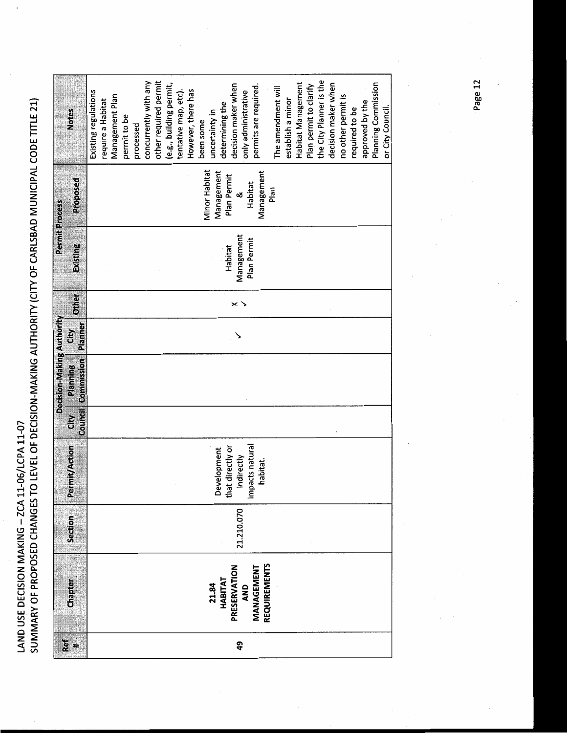|                                  | <b>Notes</b>           | the City Planner is the<br>other required permit<br>concurrently with any<br>(e.g., building permit,<br>decision maker when<br>Habitat Management<br>Planning Commission<br>permits are required.<br>decision maker when<br>Plan permit to clarify<br>The amendment will<br>However, there has<br>Existing regulations<br>tentative map, etc).<br>only administrative<br>Management Plan<br>no other permit is<br>establish a minor<br>require a Habitat<br>approved by the<br>determining the<br>or City Council.<br>required to be<br>uncertainty in<br>permit to be<br>been some<br>processed |
|----------------------------------|------------------------|--------------------------------------------------------------------------------------------------------------------------------------------------------------------------------------------------------------------------------------------------------------------------------------------------------------------------------------------------------------------------------------------------------------------------------------------------------------------------------------------------------------------------------------------------------------------------------------------------|
| <b>Permit Process</b>            | Proposed               | Minor Habitat<br>Management<br>Management<br>Plan Permit<br>Habitat<br>Plan<br>త                                                                                                                                                                                                                                                                                                                                                                                                                                                                                                                 |
|                                  | Existing               | Management<br>Plan Permit<br>Habitat                                                                                                                                                                                                                                                                                                                                                                                                                                                                                                                                                             |
|                                  | Other                  | $\times$ $\searrow$                                                                                                                                                                                                                                                                                                                                                                                                                                                                                                                                                                              |
|                                  | Planner<br>້ອ          |                                                                                                                                                                                                                                                                                                                                                                                                                                                                                                                                                                                                  |
| <b>Decision-Making Authority</b> | Commission<br>Planning |                                                                                                                                                                                                                                                                                                                                                                                                                                                                                                                                                                                                  |
|                                  | Council<br>ä           |                                                                                                                                                                                                                                                                                                                                                                                                                                                                                                                                                                                                  |
|                                  | <b>Permit/Action</b>   | impacts natural<br>that directly or<br>Development<br>indirectly<br>habitat.                                                                                                                                                                                                                                                                                                                                                                                                                                                                                                                     |
|                                  | Section                | 21.210.070                                                                                                                                                                                                                                                                                                                                                                                                                                                                                                                                                                                       |
|                                  | <b>Chapter</b>         | <b>REQUIREMENTS</b><br>PRESERVATION<br>MANAGEMENT<br>21.84<br>HABITAT<br>AND                                                                                                                                                                                                                                                                                                                                                                                                                                                                                                                     |
|                                  | Ref<br>#               | ą9                                                                                                                                                                                                                                                                                                                                                                                                                                                                                                                                                                                               |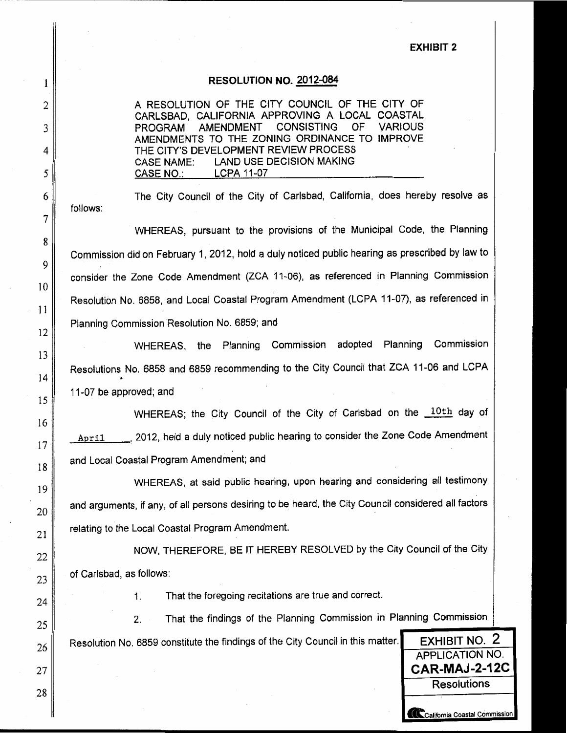### **EXHIBIT 2**

### RESOLUTION NO. 2012-084

A RESOLUTION OF THE CITY COUNCIL OF THE CITY OF CARLSBAD, CALIFORNIA APPROVING A LOCAL COASTAL **PROGRAM AMENDMENT** CONSISTING **OF VARIOUS** AMENDMENTS TO THE ZONING ORDINANCE TO IMPROVE THE CITY'S DEVELOPMENT REVIEW PROCESS **LAND USE DECISION MAKING CASE NAME:** CASE NO.: LCPA 11-07

The City Council of the City of Carlsbad, California, does hereby resolve as follows:

WHEREAS, pursuant to the provisions of the Municipal Code, the Planning Commission did on February 1, 2012, hold a duly noticed public hearing as prescribed by law to consider the Zone Code Amendment (ZCA 11-06), as referenced in Planning Commission Resolution No. 6858, and Local Coastal Program Amendment (LCPA 11-07), as referenced in Planning Commission Resolution No. 6859; and

WHEREAS, the Planning Commission adopted Planning Commission Resolutions No. 6858 and 6859 recommending to the City Council that ZCA 11-06 and LCPA 11-07 be approved; and

WHEREAS; the City Council of the City of Carlsbad on the 10th day of April 2012, held a duly noticed public hearing to consider the Zone Code Amendment and Local Coastal Program Amendment; and

WHEREAS, at said public hearing, upon hearing and considering all testimony and arguments, if any, of all persons desiring to be heard, the City Council considered all factors relating to the Local Coastal Program Amendment.

NOW, THEREFORE, BE IT HEREBY RESOLVED by the City Council of the City of Carlsbad, as follows:

> That the foregoing recitations are true and correct.  $1.$

That the findings of the Planning Commission in Planning Commission 2.

Resolution No. 6859 constitute the findings of the City Council in this matter.

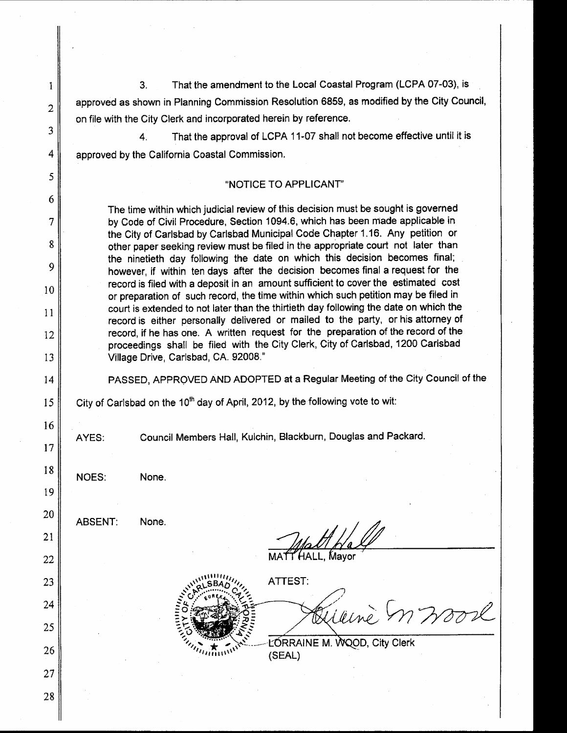That the amendment to the Local Coastal Program (LCPA 07-03), is  $3<sub>1</sub>$ approved as shown in Planning Commission Resolution 6859, as modified by the City Council, on file with the City Clerk and incorporated herein by reference.

That the approval of LCPA 11-07 shall not become effective until it is  $\overline{4}$ . approved by the California Coastal Commission.

### "NOTICE TO APPLICANT"

The time within which judicial review of this decision must be sought is governed by Code of Civil Procedure, Section 1094.6, which has been made applicable in the City of Carlsbad by Carlsbad Municipal Code Chapter 1.16. Any petition or other paper seeking review must be filed in the appropriate court not later than the ninetieth day following the date on which this decision becomes final; however, if within ten days after the decision becomes final a request for the record is filed with a deposit in an amount sufficient to cover the estimated cost or preparation of such record, the time within which such petition may be filed in court is extended to not later than the thirtieth day following the date on which the record is either personally delivered or mailed to the party, or his attorney of record, if he has one. A written request for the preparation of the record of the proceedings shall be filed with the City Clerk, City of Carlsbad, 1200 Carlsbad Village Drive, Carlsbad, CA. 92008."

PASSED, APPROVED AND ADOPTED at a Regular Meeting of the City Council of the

City of Carlsbad on the 10<sup>th</sup> day of April, 2012, by the following vote to wit:

AYES:

 $\mathbf{1}$ 

 $\overline{2}$ 

3

4

5

6

 $\overline{7}$ 

8

9

10

 $11$ 

12

13

14

15

16

17

18

19

20

21

25

26

27

28

Council Members Hall, Kulchin, Blackburn, Douglas and Packard.

NOES:

**ABSENT:** None.

None.

22 23 24

.LL. Mavor

**ATTEST:** 

m woorl

LORRAINE M. WOOD, City Clerk (SEAL)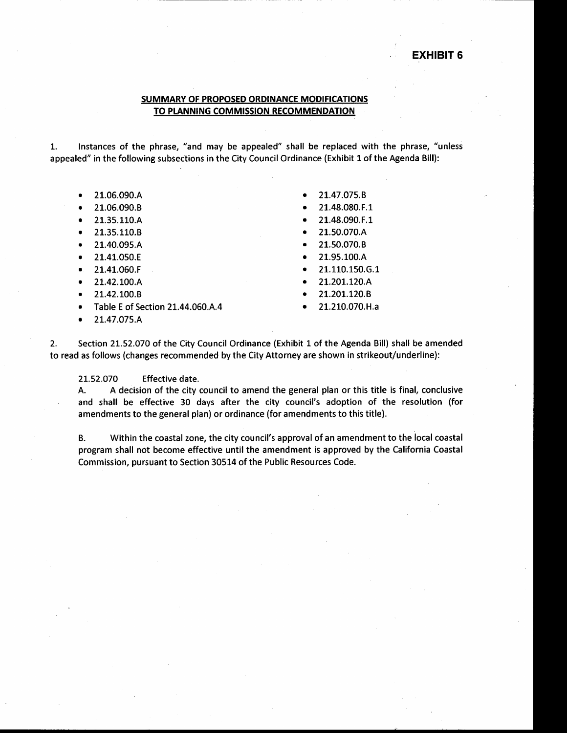### **EXHIBIT 6**

### SUMMARY OF PROPOSED ORDINANCE MODIFICATIONS TO PLANNING COMMISSION RECOMMENDATION

Instances of the phrase, "and may be appealed" shall be replaced with the phrase, "unless  $1.$ appealed" in the following subsections in the City Council Ordinance (Exhibit 1 of the Agenda Bill):

- 21.06.090.A
- 21.06.090.B
- 21.35.110.A
- 21.35.110.B
- 21.40.095.A
- 21.41.050.E
- 21.41.060.F
- 21.42.100.A
- 21.42.100.B
- Table E of Section 21.44.060.A.4
- 21.47.075.A
- 21.47.075.B
- 21.48.080.F.1
- 21.48.090.F.1
- 21.50.070.A
- 21.50.070.B
- 21.95.100.A
- 21.110.150.6.1
- 21.201.120.A
- 21.201.120.B
- 21.210.070.H.a

 $2.$ Section 21.52.070 of the City Council Ordinance (Exhibit 1 of the Agenda Bill) shall be amended to read as follows (changes recommended by the City Attorney are shown in strikeout/underline):

21.52.070 Effective date.

A decision of the city council to amend the general plan or this title is final, conclusive A. and shall be effective 30 days after the city council's adoption of the resolution (for amendments to the general plan) or ordinance (for amendments to this title).

**B.** Within the coastal zone, the city council's approval of an amendment to the local coastal program shall not become effective until the amendment is approved by the California Coastal Commission, pursuant to Section 30514 of the Public Resources Code.